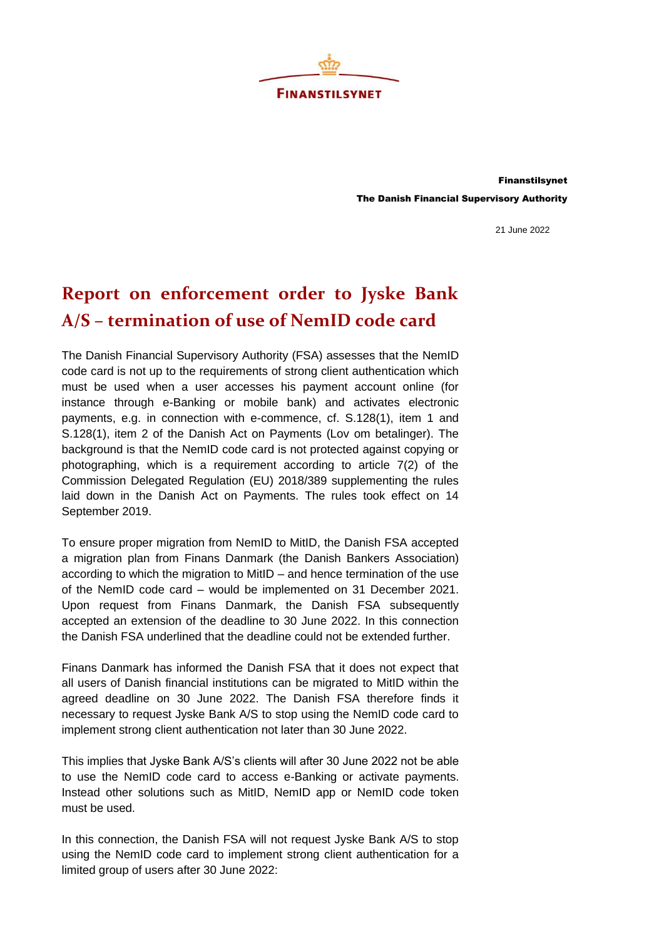

Finanstilsynet The Danish Financial Supervisory Authority

21 June 2022

## **Report on enforcement order to Jyske Bank A/S – termination of use of NemID code card**

The Danish Financial Supervisory Authority (FSA) assesses that the NemID code card is not up to the requirements of strong client authentication which must be used when a user accesses his payment account online (for instance through e-Banking or mobile bank) and activates electronic payments, e.g. in connection with e-commence, cf. S.128(1), item 1 and S.128(1), item 2 of the Danish Act on Payments (Lov om betalinger). The background is that the NemID code card is not protected against copying or photographing, which is a requirement according to article 7(2) of the Commission Delegated Regulation (EU) 2018/389 supplementing the rules laid down in the Danish Act on Payments. The rules took effect on 14 September 2019.

To ensure proper migration from NemID to MitID, the Danish FSA accepted a migration plan from Finans Danmark (the Danish Bankers Association) according to which the migration to MitID – and hence termination of the use of the NemID code card – would be implemented on 31 December 2021. Upon request from Finans Danmark, the Danish FSA subsequently accepted an extension of the deadline to 30 June 2022. In this connection the Danish FSA underlined that the deadline could not be extended further.

Finans Danmark has informed the Danish FSA that it does not expect that all users of Danish financial institutions can be migrated to MitID within the agreed deadline on 30 June 2022. The Danish FSA therefore finds it necessary to request Jyske Bank A/S to stop using the NemID code card to implement strong client authentication not later than 30 June 2022.

This implies that Jyske Bank A/S's clients will after 30 June 2022 not be able to use the NemID code card to access e-Banking or activate payments. Instead other solutions such as MitID, NemID app or NemID code token must be used.

In this connection, the Danish FSA will not request Jyske Bank A/S to stop using the NemID code card to implement strong client authentication for a limited group of users after 30 June 2022: